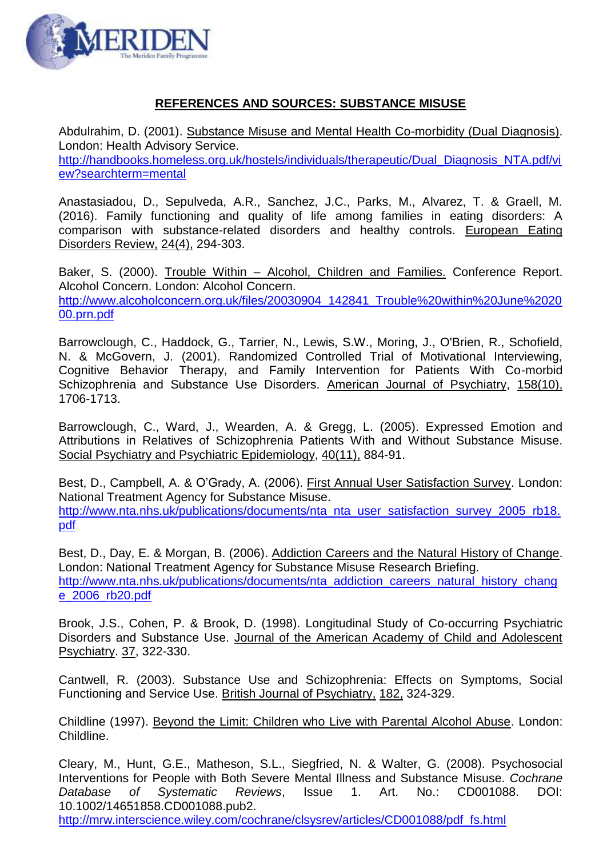

## **REFERENCES AND SOURCES: SUBSTANCE MISUSE**

Abdulrahim, D. (2001). Substance Misuse and Mental Health Co-morbidity (Dual Diagnosis). London: Health Advisory Service. [http://handbooks.homeless.org.uk/hostels/individuals/therapeutic/Dual\\_Diagnosis\\_NTA.pdf/vi](http://handbooks.homeless.org.uk/hostels/individuals/therapeutic/Dual_Diagnosis_NTA.pdf/view?searchterm=mental)

[ew?searchterm=mental](http://handbooks.homeless.org.uk/hostels/individuals/therapeutic/Dual_Diagnosis_NTA.pdf/view?searchterm=mental)

Anastasiadou, D., Sepulveda, A.R., Sanchez, J.C., Parks, M., Alvarez, T. & Graell, M. (2016). Family functioning and quality of life among families in eating disorders: A comparison with substance-related disorders and healthy controls. European Eating Disorders Review, 24(4), 294-303.

Baker, S. (2000). Trouble Within – Alcohol, Children and Families. Conference Report. Alcohol Concern. London: Alcohol Concern. [http://www.alcoholconcern.org.uk/files/20030904\\_142841\\_Trouble%20within%20June%2020](http://www.alcoholconcern.org.uk/files/20030904_142841_Trouble%20within%20June%202000.prn.pdf) [00.prn.pdf](http://www.alcoholconcern.org.uk/files/20030904_142841_Trouble%20within%20June%202000.prn.pdf)

Barrowclough, C., Haddock, G., Tarrier, N., Lewis, S.W., Moring, J., O'Brien, R., Schofield, N. & McGovern, J. (2001). Randomized Controlled Trial of Motivational Interviewing, Cognitive Behavior Therapy, and Family Intervention for Patients With Co-morbid Schizophrenia and Substance Use Disorders. American Journal of Psychiatry, 158(10), 1706-1713.

Barrowclough, C., Ward, J., Wearden, A. & Gregg, L. (2005). Expressed Emotion and Attributions in Relatives of Schizophrenia Patients With and Without Substance Misuse. Social Psychiatry and Psychiatric Epidemiology, 40(11), 884-91.

Best, D., Campbell, A. & O'Grady, A. (2006). First Annual User Satisfaction Survey. London: National Treatment Agency for Substance Misuse. [http://www.nta.nhs.uk/publications/documents/nta\\_nta\\_user\\_satisfaction\\_survey\\_2005\\_rb18.](http://www.nta.nhs.uk/publications/documents/nta_nta_user_satisfaction_survey_2005_rb18.pdf) [pdf](http://www.nta.nhs.uk/publications/documents/nta_nta_user_satisfaction_survey_2005_rb18.pdf)

Best, D., Day, E. & Morgan, B. (2006). Addiction Careers and the Natural History of Change. London: National Treatment Agency for Substance Misuse Research Briefing. [http://www.nta.nhs.uk/publications/documents/nta\\_addiction\\_careers\\_natural\\_history\\_chang](http://www.nta.nhs.uk/publications/documents/nta_addiction_careers_natural_history_change_2006_rb20.pdf) [e\\_2006\\_rb20.pdf](http://www.nta.nhs.uk/publications/documents/nta_addiction_careers_natural_history_change_2006_rb20.pdf)

Brook, J.S., Cohen, P. & Brook, D. (1998). Longitudinal Study of Co-occurring Psychiatric Disorders and Substance Use. Journal of the American Academy of Child and Adolescent Psychiatry. 37, 322-330.

Cantwell, R. (2003). Substance Use and Schizophrenia: Effects on Symptoms, Social Functioning and Service Use. British Journal of Psychiatry, 182, 324-329.

Childline (1997). Beyond the Limit: Children who Live with Parental Alcohol Abuse. London: Childline.

Cleary, M., Hunt, G.E., Matheson, S.L., Siegfried, N. & Walter, G. (2008). Psychosocial Interventions for People with Both Severe Mental Illness and Substance Misuse. *Cochrane Database of Systematic Reviews*, Issue 1. Art. No.: CD001088. DOI: 10.1002/14651858.CD001088.pub2.

[http://mrw.interscience.wiley.com/cochrane/clsysrev/articles/CD001088/pdf\\_fs.html](http://mrw.interscience.wiley.com/cochrane/clsysrev/articles/CD001088/pdf_fs.html)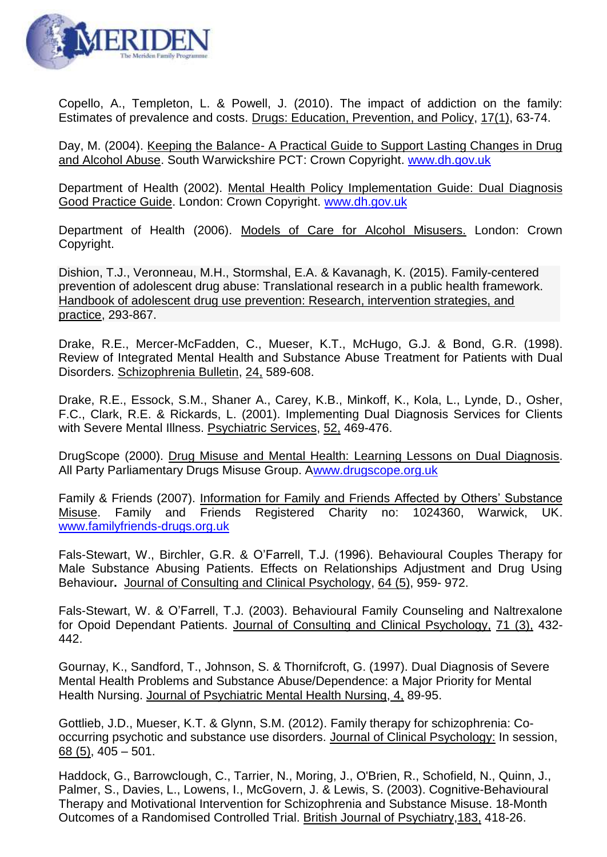

Copello, A., Templeton, L. & Powell, J. (2010). The impact of addiction on the family: Estimates of prevalence and costs. Drugs: Education, Prevention, and Policy, 17(1), 63-74.

Day, M. (2004). Keeping the Balance- A Practical Guide to Support Lasting Changes in Drug and Alcohol Abuse. South Warwickshire PCT: Crown Copyright. [www.dh.gov.uk](http://www.dh.gov.uk/)

Department of Health (2002). Mental Health Policy Implementation Guide: Dual Diagnosis Good Practice Guide. London: Crown Copyright. [www.dh.gov.uk](http://www.dh.gov.uk/)

Department of Health (2006). Models of Care for Alcohol Misusers. London: Crown Copyright.

Dishion, T.J., Veronneau, M.H., Stormshal, E.A. & Kavanagh, K. (2015). Family-centered prevention of adolescent drug abuse: Translational research in a public health framework. Handbook of adolescent drug use prevention: Research, intervention strategies, and practice, 293-867.

Drake, R.E., Mercer-McFadden, C., Mueser, K.T., McHugo, G.J. & Bond, G.R. (1998). Review of Integrated Mental Health and Substance Abuse Treatment for Patients with Dual Disorders. Schizophrenia Bulletin, 24, 589-608.

Drake, R.E., Essock, S.M., Shaner A., Carey, K.B., Minkoff, K., Kola, L., Lynde, D., Osher, F.C., Clark, R.E. & Rickards, L. (2001). Implementing Dual Diagnosis Services for Clients with Severe Mental Illness. Psychiatric Services, 52, 469-476.

DrugScope (2000). Drug Misuse and Mental Health: Learning Lessons on Dual Diagnosis. All Party Parliamentary Drugs Misuse Group. [Awww.drugscope.org.uk](http://www.drugscope.org.uk/)

Family & Friends (2007). Information for Family and Friends Affected by Others' Substance Misuse. Family and Friends Registered Charity no: 1024360, Warwick, UK. [www.familyfriends-drugs.org.uk](http://www.familyfriends-drugs.org.uk/)

Fals-Stewart, W., Birchler, G.R. & O'Farrell, T.J. (1996). Behavioural Couples Therapy for Male Substance Abusing Patients. Effects on Relationships Adjustment and Drug Using Behaviour**.** Journal of Consulting and Clinical Psychology, 64 (5), 959- 972.

Fals-Stewart, W. & O'Farrell, T.J. (2003). Behavioural Family Counseling and Naltrexalone for Opoid Dependant Patients. Journal of Consulting and Clinical Psychology, 71 (3), 432- 442.

Gournay, K., Sandford, T., Johnson, S. & Thornifcroft, G. (1997). Dual Diagnosis of Severe Mental Health Problems and Substance Abuse/Dependence: a Major Priority for Mental Health Nursing. Journal of Psychiatric Mental Health Nursing, 4, 89-95.

Gottlieb, J.D., Mueser, K.T. & Glynn, S.M. (2012). Family therapy for schizophrenia: Cooccurring psychotic and substance use disorders. Journal of Clinical Psychology: In session, 68 (5), 405 – 501.

Haddock, G., Barrowclough, C., Tarrier, N., Moring, J., O'Brien, R., Schofield, N., Quinn, J., Palmer, S., Davies, L., Lowens, I., McGovern, J. & Lewis, S. (2003). Cognitive-Behavioural Therapy and Motivational Intervention for Schizophrenia and Substance Misuse. 18-Month Outcomes of a Randomised Controlled Trial. British Journal of Psychiatry,183, 418-26.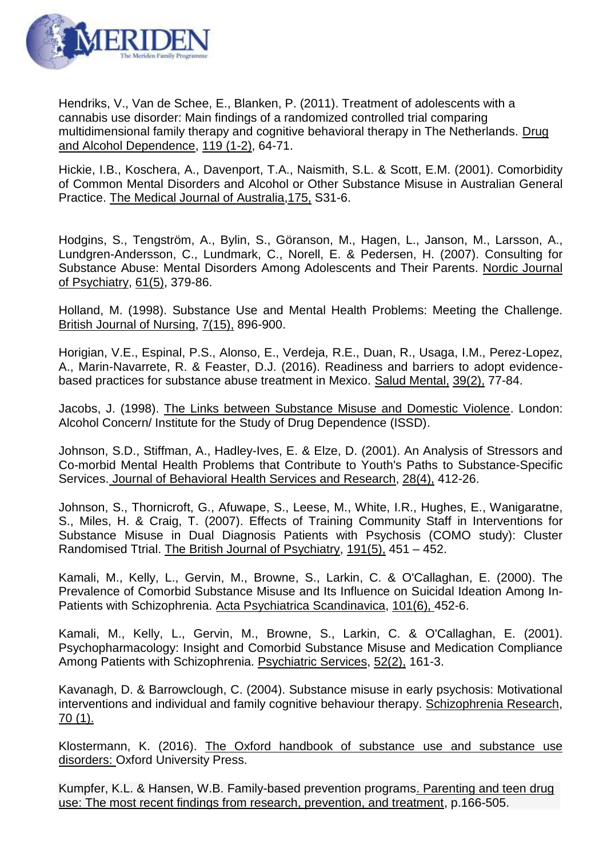

Hendriks, V., Van de Schee, E., Blanken, P. (2011). Treatment of adolescents with a cannabis use disorder: Main findings of a randomized controlled trial comparing multidimensional family therapy and cognitive behavioral therapy in The Netherlands. Drug and Alcohol Dependence, 119 (1-2), 64-71.

Hickie, I.B., Koschera, A., Davenport, T.A., Naismith, S.L. & Scott, E.M. (2001). Comorbidity of Common Mental Disorders and Alcohol or Other Substance Misuse in Australian General Practice. The Medical Journal of Australia,175, S31-6.

Hodgins, S., Tengström, A., Bylin, S., Göranson, M., Hagen, L., Janson, M., Larsson, A., Lundgren-Andersson, C., Lundmark, C., Norell, E. & Pedersen, H. (2007). Consulting for Substance Abuse: Mental Disorders Among Adolescents and Their Parents. Nordic Journal of Psychiatry, 61(5), 379-86.

Holland, M. (1998). Substance Use and Mental Health Problems: Meeting the Challenge. British Journal of Nursing, 7(15), 896-900.

Horigian, V.E., Espinal, P.S., Alonso, E., Verdeja, R.E., Duan, R., Usaga, I.M., Perez-Lopez, A., Marin-Navarrete, R. & Feaster, D.J. (2016). Readiness and barriers to adopt evidencebased practices for substance abuse treatment in Mexico. Salud Mental, 39(2), 77-84.

Jacobs, J. (1998). The Links between Substance Misuse and Domestic Violence. London: Alcohol Concern/ Institute for the Study of Drug Dependence (ISSD).

Johnson, S.D., Stiffman, A., Hadley-Ives, E. & Elze, D. (2001). An Analysis of Stressors and Co-morbid Mental Health Problems that Contribute to Youth's Paths to Substance-Specific Services. Journal of Behavioral Health Services and Research, 28(4), 412-26.

Johnson, S., Thornicroft, G., Afuwape, S., Leese, M., White, I.R., Hughes, E., Wanigaratne, S., Miles, H. & Craig, T. (2007). Effects of Training Community Staff in Interventions for Substance Misuse in Dual Diagnosis Patients with Psychosis (COMO study): Cluster Randomised Ttrial. The British Journal of Psychiatry, 191(5), 451 – 452.

Kamali, M., Kelly, L., Gervin, M., Browne, S., Larkin, C. & O'Callaghan, E. (2000). The Prevalence of Comorbid Substance Misuse and Its Influence on Suicidal Ideation Among In-Patients with Schizophrenia. Acta Psychiatrica Scandinavica, 101(6), 452-6.

Kamali, M., Kelly, L., Gervin, M., Browne, S., Larkin, C. & O'Callaghan, E. (2001). Psychopharmacology: Insight and Comorbid Substance Misuse and Medication Compliance Among Patients with Schizophrenia. Psychiatric Services, 52(2), 161-3.

Kavanagh, D. & Barrowclough, C. (2004). Substance misuse in early psychosis: Motivational interventions and individual and family cognitive behaviour therapy. Schizophrenia Research, 70 (1).

Klostermann, K. (2016). The Oxford handbook of substance use and substance use disorders: Oxford University Press.

Kumpfer, K.L. & Hansen, W.B. Family-based prevention programs. Parenting and teen drug use: The most recent findings from research, prevention, and treatment, p.166-505.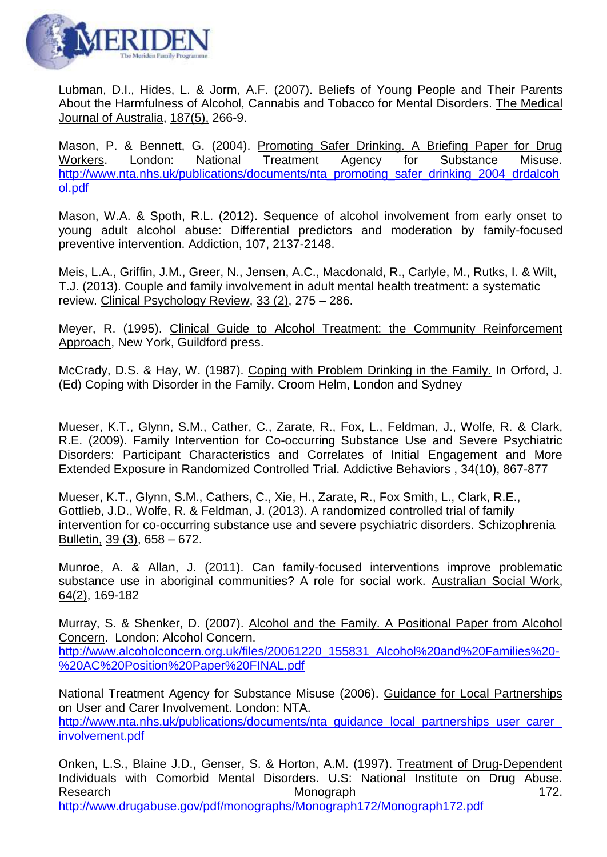

Lubman, D.I., Hides, L. & Jorm, A.F. (2007). Beliefs of Young People and Their Parents About the Harmfulness of Alcohol, Cannabis and Tobacco for Mental Disorders. The Medical Journal of Australia, 187(5), 266-9.

Mason, P. & Bennett, G. (2004). Promoting Safer Drinking. A Briefing Paper for Drug Workers. London: National Treatment Agency for Substance Misuse. [http://www.nta.nhs.uk/publications/documents/nta\\_promoting\\_safer\\_drinking\\_2004\\_drdalcoh](http://www.nta.nhs.uk/publications/documents/nta_promoting_safer_drinking_2004_drdalcohol.pdf) [ol.pdf](http://www.nta.nhs.uk/publications/documents/nta_promoting_safer_drinking_2004_drdalcohol.pdf)

Mason, W.A. & Spoth, R.L. (2012). Sequence of alcohol involvement from early onset to young adult alcohol abuse: Differential predictors and moderation by family-focused preventive intervention. Addiction, 107, 2137-2148.

Meis, L.A., Griffin, J.M., Greer, N., Jensen, A.C., Macdonald, R., Carlyle, M., Rutks, I. & Wilt, T.J. (2013). Couple and family involvement in adult mental health treatment: a systematic review. Clinical Psychology Review, 33 (2), 275 – 286.

Meyer, R. (1995). Clinical Guide to Alcohol Treatment: the Community Reinforcement Approach, New York, Guildford press.

McCrady, D.S. & Hay, W. (1987). Coping with Problem Drinking in the Family. In Orford, J. (Ed) Coping with Disorder in the Family. Croom Helm, London and Sydney

Mueser, K.T., Glynn, S.M., Cather, C., Zarate, R., Fox, L., Feldman, J., Wolfe, R. & Clark, R.E. (2009). Family Intervention for Co-occurring Substance Use and Severe Psychiatric Disorders: Participant Characteristics and Correlates of Initial Engagement and More Extended Exposure in Randomized Controlled Trial. Addictive Behaviors , 34(10), 867-877

Mueser, K.T., Glynn, S.M., Cathers, C., Xie, H., Zarate, R., Fox Smith, L., Clark, R.E., Gottlieb, J.D., Wolfe, R. & Feldman, J. (2013). A randomized controlled trial of family intervention for co-occurring substance use and severe psychiatric disorders. Schizophrenia Bulletin, 39 (3), 658 – 672.

Munroe, A. & Allan, J. (2011). Can family-focused interventions improve problematic substance use in aboriginal communities? A role for social work. Australian Social Work, 64(2), 169-182

Murray, S. & Shenker, D. (2007). Alcohol and the Family. A Positional Paper from Alcohol Concern. London: Alcohol Concern. [http://www.alcoholconcern.org.uk/files/20061220\\_155831\\_Alcohol%20and%20Families%20-](http://www.alcoholconcern.org.uk/files/20061220_155831_Alcohol%20and%20Families%20-%20AC%20Position%20Paper%20FINAL.pdf) [%20AC%20Position%20Paper%20FINAL.pdf](http://www.alcoholconcern.org.uk/files/20061220_155831_Alcohol%20and%20Families%20-%20AC%20Position%20Paper%20FINAL.pdf)

National Treatment Agency for Substance Misuse (2006). Guidance for Local Partnerships on User and Carer Involvement. London: NTA. http://www.nta.nhs.uk/publications/documents/nta\_quidance\_local\_partnerships\_user\_carer [involvement.pdf](http://www.nta.nhs.uk/publications/documents/nta_guidance_local_partnerships_user_carer_involvement.pdf)

Onken, L.S., Blaine J.D., Genser, S. & Horton, A.M. (1997). Treatment of Drug-Dependent Individuals with Comorbid Mental Disorders. U.S: National Institute on Drug Abuse. Research **Monograph** 172. <http://www.drugabuse.gov/pdf/monographs/Monograph172/Monograph172.pdf>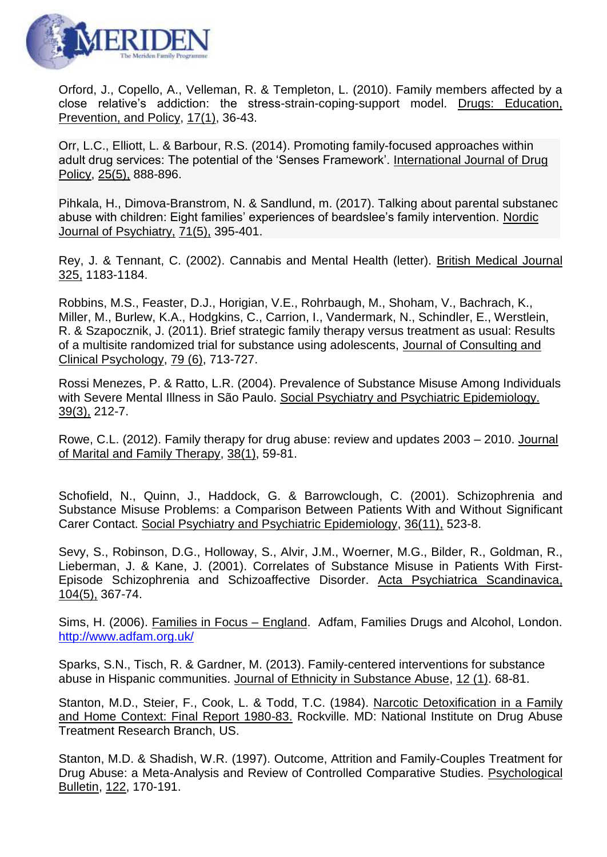

Orford, J., Copello, A., Velleman, R. & Templeton, L. (2010). Family members affected by a close relative's addiction: the stress-strain-coping-support model. Drugs: Education, Prevention, and Policy, 17(1), 36-43.

Orr, L.C., Elliott, L. & Barbour, R.S. (2014). Promoting family-focused approaches within adult drug services: The potential of the 'Senses Framework'. International Journal of Drug Policy, 25(5), 888-896.

Pihkala, H., Dimova-Branstrom, N. & Sandlund, m. (2017). Talking about parental substanec abuse with children: Eight families' experiences of beardslee's family intervention. Nordic Journal of Psychiatry, 71(5), 395-401.

Rey, J. & Tennant, C. (2002). Cannabis and Mental Health (letter). British Medical Journal 325, 1183-1184.

Robbins, M.S., Feaster, D.J., Horigian, V.E., Rohrbaugh, M., Shoham, V., Bachrach, K., Miller, M., Burlew, K.A., Hodgkins, C., Carrion, I., Vandermark, N., Schindler, E., Werstlein, R. & Szapocznik, J. (2011). Brief strategic family therapy versus treatment as usual: Results of a multisite randomized trial for substance using adolescents, Journal of Consulting and Clinical Psychology, 79 (6), 713-727.

Rossi Menezes, P. & Ratto, L.R. (2004). Prevalence of Substance Misuse Among Individuals with Severe Mental Illness in São Paulo. Social Psychiatry and Psychiatric Epidemiology. 39(3), 212-7.

Rowe, C.L. (2012). Family therapy for drug abuse: review and updates 2003 – 2010. Journal of Marital and Family Therapy, 38(1), 59-81.

Schofield, N., Quinn, J., Haddock, G. & Barrowclough, C. (2001). Schizophrenia and Substance Misuse Problems: a Comparison Between Patients With and Without Significant Carer Contact. Social Psychiatry and Psychiatric Epidemiology, 36(11), 523-8.

Sevy, S., Robinson, D.G., Holloway, S., Alvir, J.M., Woerner, M.G., Bilder, R., Goldman, R., Lieberman, J. & Kane, J. (2001). Correlates of Substance Misuse in Patients With First-Episode Schizophrenia and Schizoaffective Disorder. Acta Psychiatrica Scandinavica, 104(5), 367-74.

Sims, H. (2006). Families in Focus – England. Adfam, Families Drugs and Alcohol, London. <http://www.adfam.org.uk/>

Sparks, S.N., Tisch, R. & Gardner, M. (2013). Family-centered interventions for substance abuse in Hispanic communities. Journal of Ethnicity in Substance Abuse, 12 (1). 68-81.

Stanton, M.D., Steier, F., Cook, L. & Todd, T.C. (1984). Narcotic Detoxification in a Family and Home Context: Final Report 1980-83. Rockville. MD: National Institute on Drug Abuse Treatment Research Branch, US.

Stanton, M.D. & Shadish, W.R. (1997). Outcome, Attrition and Family-Couples Treatment for Drug Abuse: a Meta-Analysis and Review of Controlled Comparative Studies. Psychological Bulletin, 122, 170-191.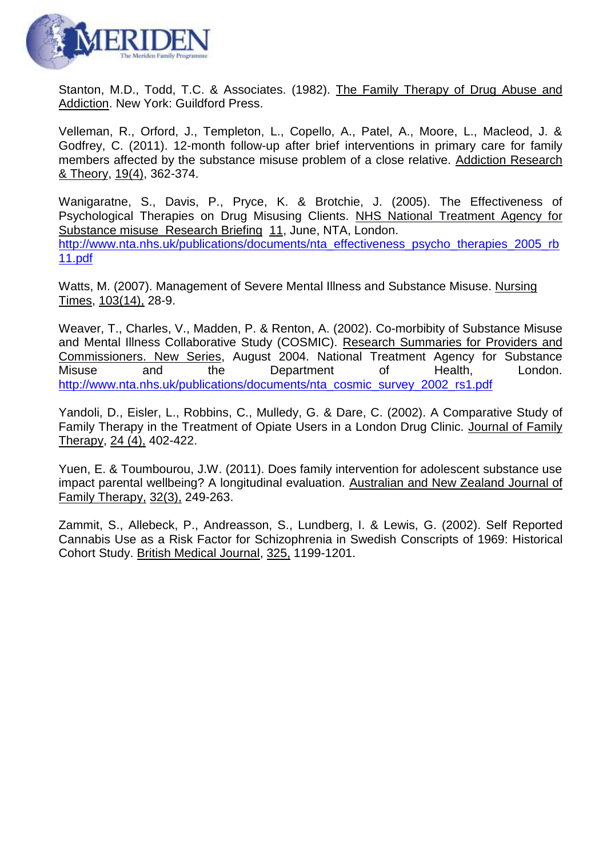

Stanton, M.D., Todd, T.C. & Associates. (1982). The Family Therapy of Drug Abuse and Addiction. New York: Guildford Press.

Velleman, R., Orford, J., Templeton, L., Copello, A., Patel, A., Moore, L., Macleod, J. & Godfrey, C. (2011). 12-month follow-up after brief interventions in primary care for family members affected by the substance misuse problem of a close relative. Addiction Research & Theory, 19(4), 362-374.

Wanigaratne, S., Davis, P., Pryce, K. & Brotchie, J. (2005). The Effectiveness of Psychological Therapies on Drug Misusing Clients. NHS National Treatment Agency for Substance misuse Research Briefing 11, June, NTA, London. [http://www.nta.nhs.uk/publications/documents/nta\\_effectiveness\\_psycho\\_therapies\\_2005\\_rb](http://www.nta.nhs.uk/publications/documents/nta_effectiveness_psycho_therapies_2005_rb11.pdf) [11.pdf](http://www.nta.nhs.uk/publications/documents/nta_effectiveness_psycho_therapies_2005_rb11.pdf)

Watts, M. (2007). Management of Severe Mental Illness and Substance Misuse. Nursing Times, 103(14), 28-9.

Weaver, T., Charles, V., Madden, P. & Renton, A. (2002). Co-morbibity of Substance Misuse and Mental Illness Collaborative Study (COSMIC). Research Summaries for Providers and Commissioners. New Series, August 2004. National Treatment Agency for Substance Misuse and the Department of Health, London. [http://www.nta.nhs.uk/publications/documents/nta\\_cosmic\\_survey\\_2002\\_rs1.pdf](http://www.nta.nhs.uk/publications/documents/nta_cosmic_survey_2002_rs1.pdf)

Yandoli, D., Eisler, L., Robbins, C., Mulledy, G. & Dare, C. (2002). A Comparative Study of Family Therapy in the Treatment of Opiate Users in a London Drug Clinic. Journal of Family Therapy, 24 (4), 402-422.

Yuen, E. & Toumbourou, J.W. (2011). Does family intervention for adolescent substance use impact parental wellbeing? A longitudinal evaluation. Australian and New Zealand Journal of Family Therapy, 32(3), 249-263.

Zammit, S., Allebeck, P., Andreasson, S., Lundberg, I. & Lewis, G. (2002). Self Reported Cannabis Use as a Risk Factor for Schizophrenia in Swedish Conscripts of 1969: Historical Cohort Study. British Medical Journal, 325, 1199-1201.